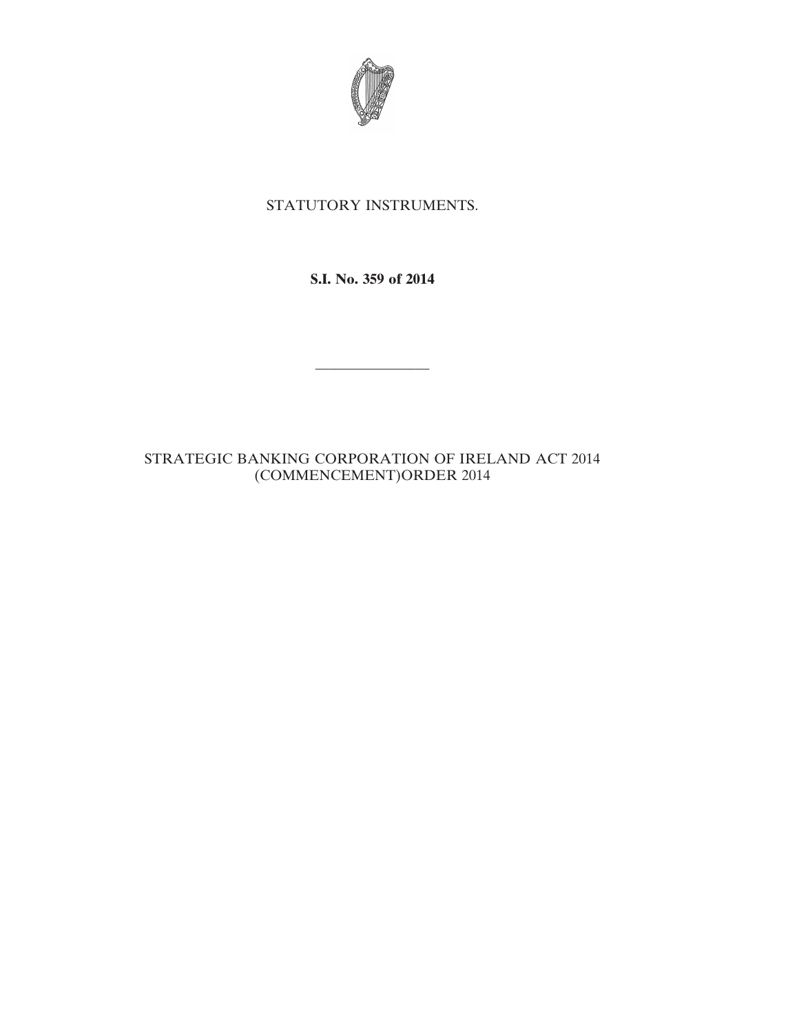

## STATUTORY INSTRUMENTS.

**S.I. No. 359 of 2014**

————————

## STRATEGIC BANKING CORPORATION OF IRELAND ACT 2014 (COMMENCEMENT)ORDER 2014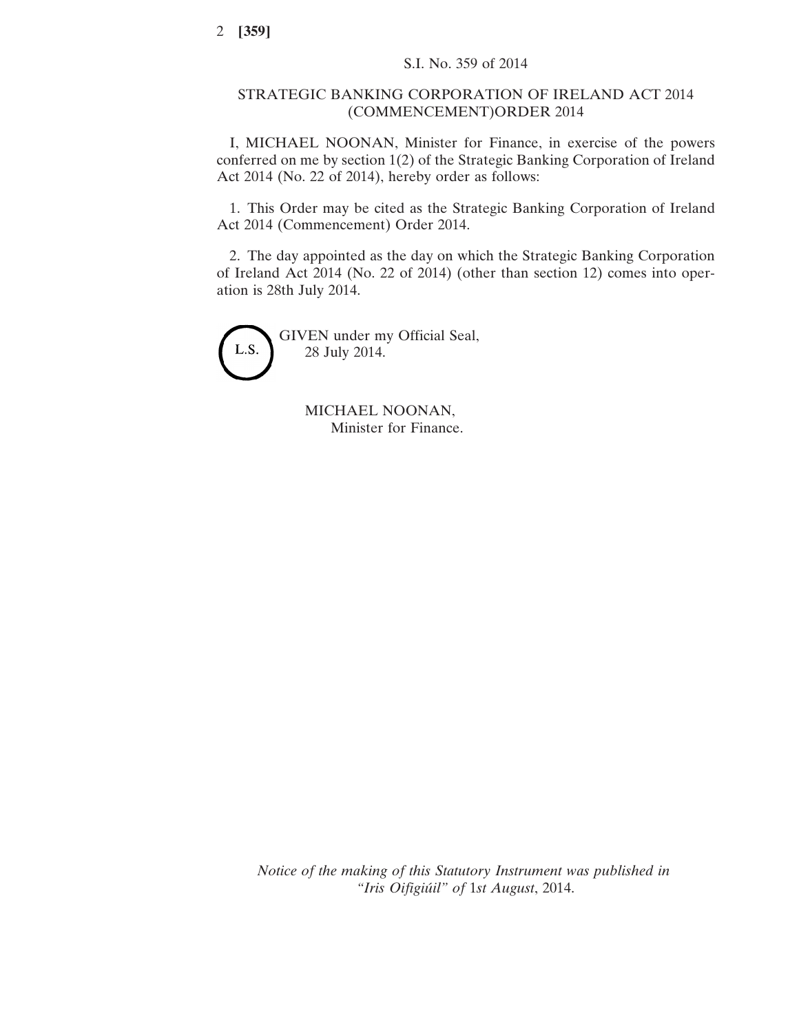## STRATEGIC BANKING CORPORATION OF IRELAND ACT 2014 (COMMENCEMENT)ORDER 2014

I, MICHAEL NOONAN, Minister for Finance, in exercise of the powers conferred on me by section 1(2) of the Strategic Banking Corporation of Ireland Act 2014 (No. 22 of 2014), hereby order as follows:

1. This Order may be cited as the Strategic Banking Corporation of Ireland Act 2014 (Commencement) Order 2014.

2. The day appointed as the day on which the Strategic Banking Corporation of Ireland Act 2014 (No. 22 of 2014) (other than section 12) comes into operation is 28th July 2014.



GIVEN under my Official Seal, 28 July 2014.

> MICHAEL NOONAN, Minister for Finance.

*Notice of the making of this Statutory Instrument was published in "Iris Oifigiúil" of* 1*st August*, 2014.